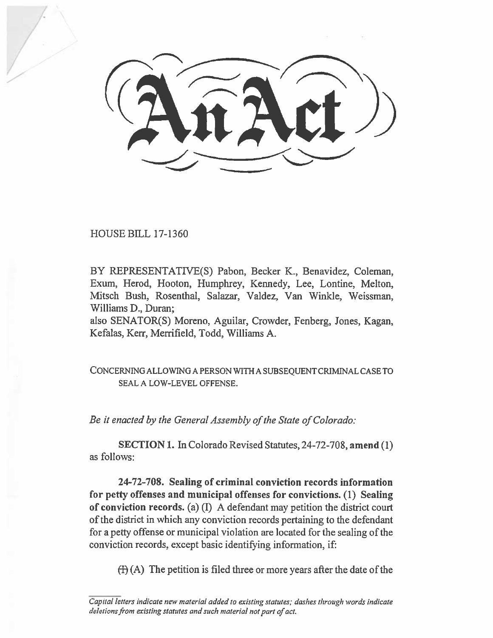HOUSE BILL 17-1360

BY REPRESENTATIVE(S) Pabon, Becker K., Benavidez, Coleman, Exum, Herod, Hooton, Humphrey, Kennedy, Lee, Lontine, Melton, Mitsch Bush, Rosenthal, Salazar, Valdez, Van Winkle, Weissman, Williams D., Duran;

also SENATOR(S) Moreno, Aguilar, Crowder, Fenberg, Jones, Kagan, Kefalas, Kerr, Merrifield, Todd, Williams A.

CONCERNING ALLOWING A PERSON WITH A SUBSEQUENT CRIMINAL CASE TO SEAL A LOW-LEVEL OFFENSE.

*Be it enacted by the General Assembly of the State of Colorado:* 

**SECTION I.** In Colorado Revised Statutes, 24-72-708, **amend** (1) as follows:

**24-72-708. Sealing of criminal conviction records information for petty offenses and municipal offenses for convictions. (1) Sealing of conviction records.** (a) (I) A defendant may petition the district court of the district in which any conviction records pertaining to the defendant for a petty offense or municipal violation are located for the sealing **of** the conviction records, except basic identifying information, if:

 $(H)$  (A) The petition is filed three or more years after the date of the

*Capital letters indicate new material added to existing statutes; dashes through words indicate deletions from existing statutes and such material not part of act.*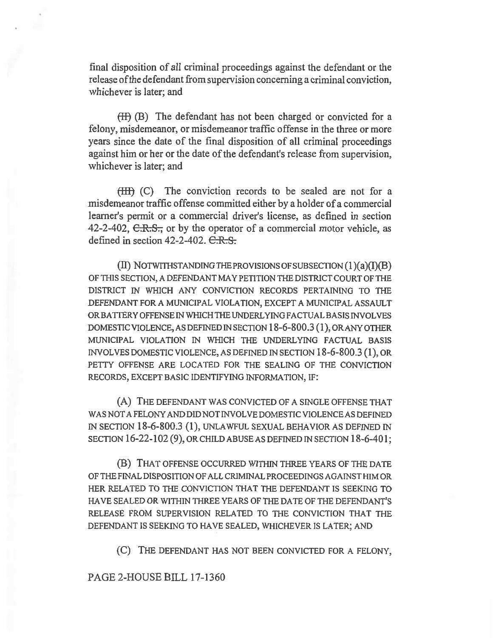final disposition of all criminal proceedings against the defendant or the release ofthe defendant from supervision concerning a criminal conviction, whichever is later; and

(H) (B) The defendant has not been charged or convicted for a felony, misdemeanor, or misdemeanor traffic offense in the three or more years since the date of the final disposition of all criminal proceedings against him or her or the date of the defendant's release from supervision, whichever is later; and

(III) (C) The conviction records to be sealed are not for a misdemeanor traffic offense committed either by a holder of a commercial learner's permit or a commercial driver's license, as defined in section 42-2-402,  $C.R.S.,$  or by the operator of a commercial motor vehicle, as defined in section  $42-2-402$ .  $C.R.S.$ 

 $(II)$  NOTWITHSTANDING THE PROVISIONS OF SUBSECTION  $(1)(a)(I)(B)$ OF THIS SECTION, A DEFENDANT MAY PETITION THE DISTRICT COURT OF THE DISTRICT IN WHICH ANY CONVICTION RECORDS PERTAINING TO THE DEFENDANT FOR A MUNICIPAL VIOLATION, EXCEPT A MUNICIPAL ASSAULT OR BATTERY OFFENSE IN WHICH THE UNDERLYING FACTUAL BASIS INVOLVES DOMESTIC VIOLENCE, AS DEFINED IN SECTION 18-6-800.3 (1), OR ANY OTHER MUNICIPAL VIOLATION IN WHICH THE UNDERLYING FACTUAL BASIS INVOLVES DOMESTIC VIOLENCE, AS DEFINED IN SECTION 18-6-800.3 (1), OR PETTY OFFENSE ARE LOCATED FOR THE SEALING OF THE CONVICTION RECORDS, EXCEPT BASIC IDENTIFYING INFORMATION, IF:

(A) THE DEFENDANT WAS CONVICTED OF A SINGLE OFFENSE THAT WAS NOT A FELONY AND DID NOT INVOLVE DOMESTIC VIOLENCE AS DEFINED IN SECTION 18-6-800.3 (1), UNLAWFUL SEXUAL BEHAVIOR AS DEFINED IN SECTION 16-22-102 (9), OR CHILD ABUSE AS DEFINED IN SECTION 18-6-401;

(B) THAT OFFENSE OCCURRED WITHIN THREE YEARS OF THE DATE OF THE FINAL DISPOSITION OF ALL CRIMINAL PROCEEDINGS AGAINST HIM OR HER RELATED TO THE CONVICTION THAT THE DEFENDANT IS SEEKING TO HAVE SEALED OR WITHIN THREE YEARS OF THE DATE OF THE DEFENDANT'S RELEASE FROM SUPERVISION RELATED TO THE CONVICTION THAT THE DEFENDANT IS SEEKING TO HAVE SEALED, WHICHEVER IS LATER; AND

(C) THE DEFENDANT HAS NOT BEEN CONVICTED FOR A FELONY,

PAGE 2-HOUSE BILL 17-1360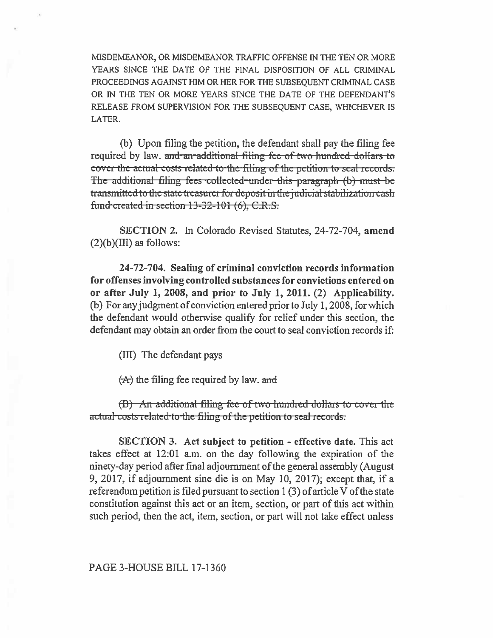MISDEMEANOR, OR MISDEMEANOR TRAFFIC OFFENSE IN THE TEN OR MORE YEARS SINCE THE DATE OF THE FINAL DISPOSITION OF ALL CRIMINAL PROCEEDINGS AGAINST HIM OR HER FOR THE SUBSEQUENT CRIMINAL CASE OR IN THE TEN OR MORE YEARS SINCE THE DATE OF THE DEFENDANT'S RELEASE FROM SUPERVISION FOR THE SUBSEQUENT CASE, WHICHEVER IS LATER.

(b) Upon filing the petition, the defendant shall pay the filing fee required by law. and an additional filing fee of two hundred dollars to cover the actual costs related to the filing of the petition to seal records. The additional filing fees collected under this paragraph (b) must be transmitted to the state treasurer for deposit in the judicial stabilization eash fund-created in section 13-32-101 (6), C.R.S.

SECTION 2. In Colorado Revised Statutes, 24-72-704, amend  $(2)(b)(III)$  as follows:

24-72-704. Sealing of criminal conviction records information for offenses involving controlled substances for convictions entered on or after July 1, 2008, and prior to July 1, 2011. (2) Applicability. (b) For any judgment of conviction entered prior to July 1, 2008, for which the defendant would otherwise qualify for relief under this section, the defendant may obtain an order from the court to seal conviction records if:

(III) The defendant pays

 $(A)$  the filing fee required by law. and

(B) An additional filing fee-of-two-hundred dollars to-cover the actual costs related to the filing of the petition to seal records.

**SECTION 3.** Act subject to petition - effective date. This act takes effect at 12:01 a.m. on the day following the expiration of the ninety-day period after final adjournment of the general assembly (August 9, 2017, if adjournment sine die is on May 10, 2017); except that, if a referendum petition is filed pursuant to section  $1(3)$  of article V of the state constitution against this act or an item, section, or part of this act within such period, then the act, item, section, or part will not take effect unless

PAGE 3-HOUSE BILL 17-1360